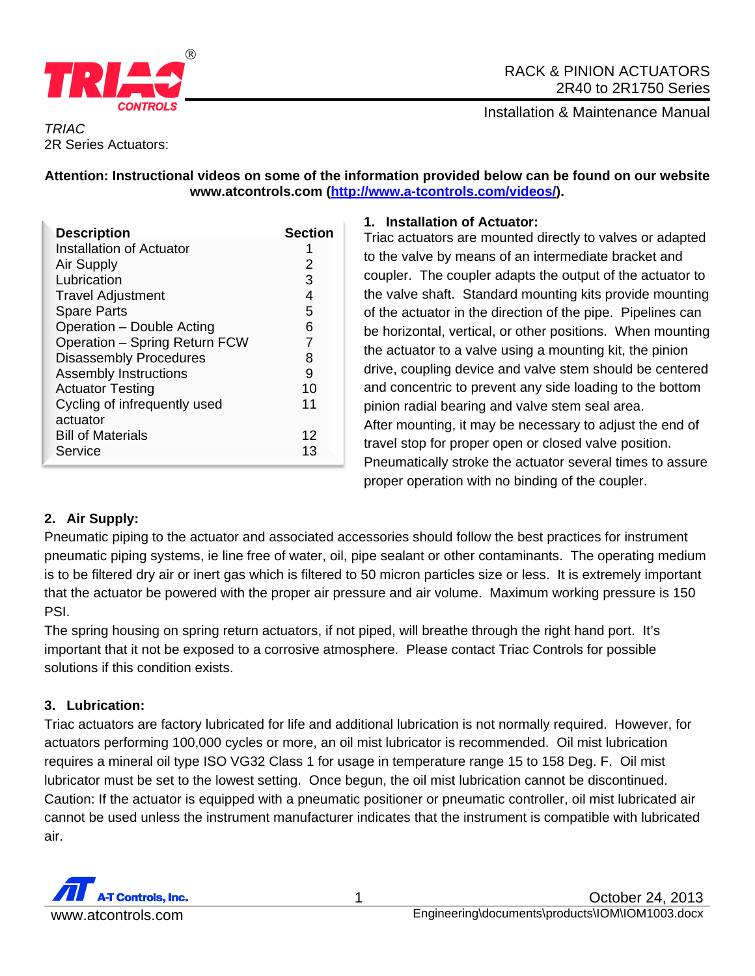

## RACK & PINION ACTUATORS 2R40 to 2R1750 Series

Installation & Maintenance Manual

### *TRIAC*  2R Series Actuators:

## **Attention: Instructional videos on some of the information provided below can be found on our website www.atcontrols.com (http://www.a-tcontrols.com/videos/).**

| <b>Description</b>                       | <b>Section</b> |
|------------------------------------------|----------------|
| Installation of Actuator                 |                |
| Air Supply                               | 2              |
| Lubrication                              | 3              |
| <b>Travel Adjustment</b>                 | 4              |
| <b>Spare Parts</b>                       | 5              |
| Operation - Double Acting                | 6              |
| Operation - Spring Return FCW            | 7              |
| <b>Disassembly Procedures</b>            | 8              |
| <b>Assembly Instructions</b>             | 9              |
| <b>Actuator Testing</b>                  | 10             |
| Cycling of infrequently used<br>actuator | 11             |
| <b>Bill of Materials</b>                 | 12             |
| Service                                  | 13             |

## **1. Installation of Actuator:**

Triac actuators are mounted directly to valves or adapted to the valve by means of an intermediate bracket and coupler. The coupler adapts the output of the actuator to the valve shaft. Standard mounting kits provide mounting of the actuator in the direction of the pipe. Pipelines can be horizontal, vertical, or other positions. When mounting the actuator to a valve using a mounting kit, the pinion drive, coupling device and valve stem should be centered and concentric to prevent any side loading to the bottom pinion radial bearing and valve stem seal area. After mounting, it may be necessary to adjust the end of travel stop for proper open or closed valve position. Pneumatically stroke the actuator several times to assure proper operation with no binding of the coupler.

# **2. Air Supply:**

Pneumatic piping to the actuator and associated accessories should follow the best practices for instrument pneumatic piping systems, ie line free of water, oil, pipe sealant or other contaminants. The operating medium is to be filtered dry air or inert gas which is filtered to 50 micron particles size or less. It is extremely important that the actuator be powered with the proper air pressure and air volume. Maximum working pressure is 150 PSI.

The spring housing on spring return actuators, if not piped, will breathe through the right hand port. It's important that it not be exposed to a corrosive atmosphere. Please contact Triac Controls for possible solutions if this condition exists.

# **3. Lubrication:**

Triac actuators are factory lubricated for life and additional lubrication is not normally required. However, for actuators performing 100,000 cycles or more, an oil mist lubricator is recommended. Oil mist lubrication requires a mineral oil type ISO VG32 Class 1 for usage in temperature range 15 to 158 Deg. F. Oil mist lubricator must be set to the lowest setting. Once begun, the oil mist lubrication cannot be discontinued. Caution: If the actuator is equipped with a pneumatic positioner or pneumatic controller, oil mist lubricated air cannot be used unless the instrument manufacturer indicates that the instrument is compatible with lubricated air.

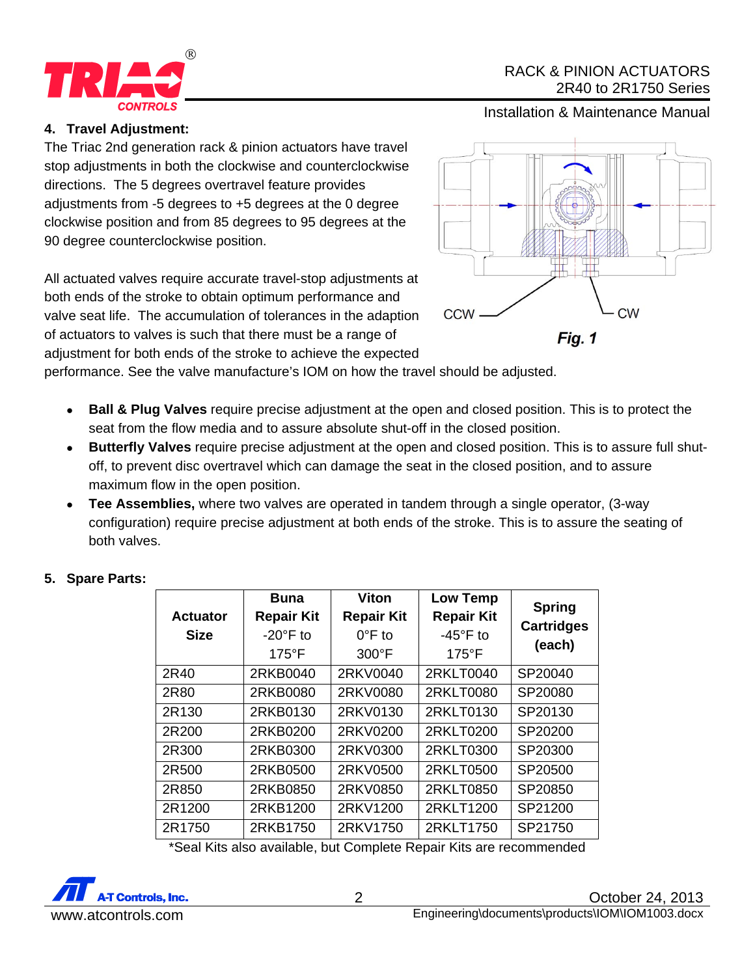

## RACK & PINION ACTUATORS 2R40 to 2R1750 Series

Installation & Maintenance Manual

## **4. Travel Adjustment:**

The Triac 2nd generation rack & pinion actuators have travel stop adjustments in both the clockwise and counterclockwise directions. The 5 degrees overtravel feature provides adjustments from -5 degrees to +5 degrees at the 0 degree clockwise position and from 85 degrees to 95 degrees at the 90 degree counterclockwise position.

All actuated valves require accurate travel-stop adjustments at both ends of the stroke to obtain optimum performance and valve seat life. The accumulation of tolerances in the adaption of actuators to valves is such that there must be a range of adjustment for both ends of the stroke to achieve the expected



performance. See the valve manufacture's IOM on how the travel should be adjusted.

- **Ball & Plug Valves** require precise adjustment at the open and closed position. This is to protect the seat from the flow media and to assure absolute shut-off in the closed position.
- **Butterfly Valves** require precise adjustment at the open and closed position. This is to assure full shutoff, to prevent disc overtravel which can damage the seat in the closed position, and to assure maximum flow in the open position.
- **Tee Assemblies,** where two valves are operated in tandem through a single operator, (3-way configuration) require precise adjustment at both ends of the stroke. This is to assure the seating of both valves.

| <b>Actuator</b> | Buna<br><b>Repair Kit</b> | <b>Viton</b><br><b>Repair Kit</b> | <b>Low Temp</b><br><b>Repair Kit</b> | <b>Spring</b>     |
|-----------------|---------------------------|-----------------------------------|--------------------------------------|-------------------|
| <b>Size</b>     | $-20^\circ$ F to          | $0^{\circ}$ F to                  | $-45^{\circ}$ F to                   | <b>Cartridges</b> |
|                 | $175^{\circ}$ F           | $300^{\circ}$ F                   | $175^{\circ}$ F                      | (each)            |
| 2R40            | 2RKB0040                  | 2RKV0040                          | 2RKLT0040                            | SP20040           |
| 2R80            | 2RKB0080                  | 2RKV0080                          | 2RKLT0080                            | SP20080           |
| 2R130           | 2RKB0130                  | 2RKV0130                          | 2RKLT0130                            | SP20130           |
| 2R200           | 2RKB0200                  | 2RKV0200                          | 2RKLT0200                            | SP20200           |
| 2R300           | 2RKB0300                  | 2RKV0300                          | 2RKLT0300                            | SP20300           |
| 2R500           | 2RKB0500                  | 2RKV0500                          | 2RKLT0500                            | SP20500           |
| 2R850           | 2RKB0850                  | 2RKV0850                          | 2RKLT0850                            | SP20850           |
| 2R1200          | 2RKB1200                  | 2RKV1200                          | 2RKLT1200                            | SP21200           |
| 2R1750          | 2RKB1750                  | 2RKV1750                          | 2RKLT1750                            | SP21750           |

## **5. Spare Parts:**

\*Seal Kits also available, but Complete Repair Kits are recommended

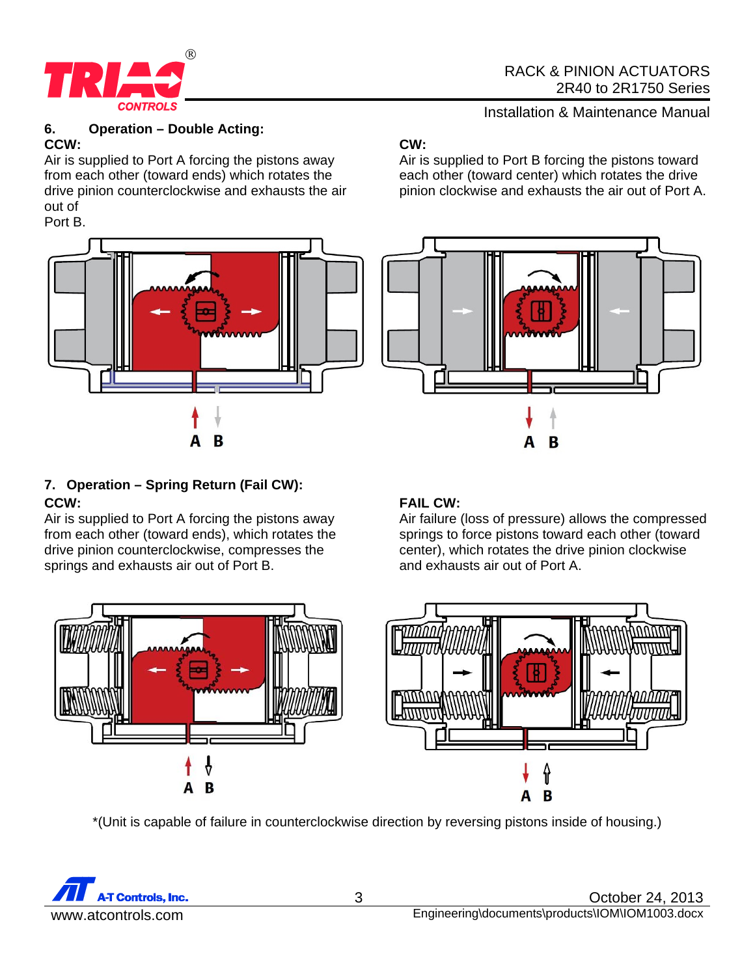

#### **6. Operation – Double Acting: CCW:**

Air is supplied to Port A forcing the pistons away from each other (toward ends) which rotates the drive pinion counterclockwise and exhausts the air out of



# **7. Operation – Spring Return (Fail CW): CCW:**

Air is supplied to Port A forcing the pistons away from each other (toward ends), which rotates the drive pinion counterclockwise, compresses the springs and exhausts air out of Port B.

# **CW:**

Air is supplied to Port B forcing the pistons toward each other (toward center) which rotates the drive pinion clockwise and exhausts the air out of Port A.



# **FAIL CW:**

Air failure (loss of pressure) allows the compressed springs to force pistons toward each other (toward center), which rotates the drive pinion clockwise and exhausts air out of Port A.



\*(Unit is capable of failure in counterclockwise direction by reversing pistons inside of housing.)

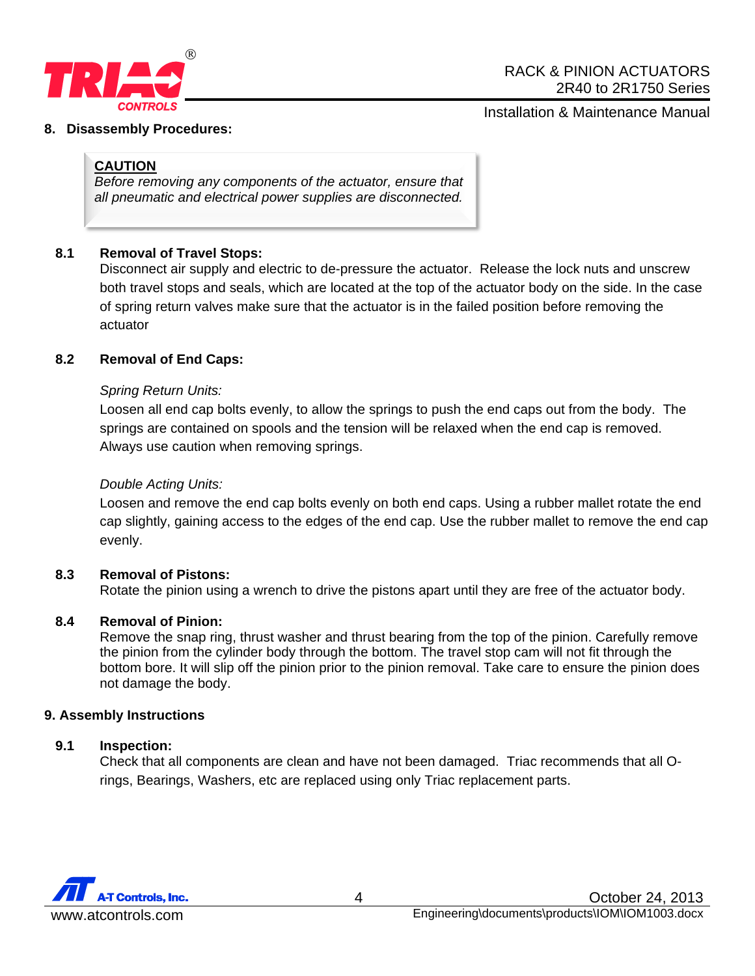

#### **8. Disassembly Procedures:**

### **CAUTION**

*Before removing any components of the actuator, ensure that all pneumatic and electrical power supplies are disconnected.* 

### **8.1 Removal of Travel Stops:**

Disconnect air supply and electric to de-pressure the actuator. Release the lock nuts and unscrew both travel stops and seals, which are located at the top of the actuator body on the side. In the case of spring return valves make sure that the actuator is in the failed position before removing the actuator

### **8.2 Removal of End Caps:**

### *Spring Return Units:*

Loosen all end cap bolts evenly, to allow the springs to push the end caps out from the body. The springs are contained on spools and the tension will be relaxed when the end cap is removed. Always use caution when removing springs.

#### *Double Acting Units:*

Loosen and remove the end cap bolts evenly on both end caps. Using a rubber mallet rotate the end cap slightly, gaining access to the edges of the end cap. Use the rubber mallet to remove the end cap evenly.

#### **8.3 Removal of Pistons:**

Rotate the pinion using a wrench to drive the pistons apart until they are free of the actuator body.

#### **8.4 Removal of Pinion:**

Remove the snap ring, thrust washer and thrust bearing from the top of the pinion. Carefully remove the pinion from the cylinder body through the bottom. The travel stop cam will not fit through the bottom bore. It will slip off the pinion prior to the pinion removal. Take care to ensure the pinion does not damage the body.

#### **9. Assembly Instructions**

#### **9.1 Inspection:**

Check that all components are clean and have not been damaged. Triac recommends that all Orings, Bearings, Washers, etc are replaced using only Triac replacement parts.

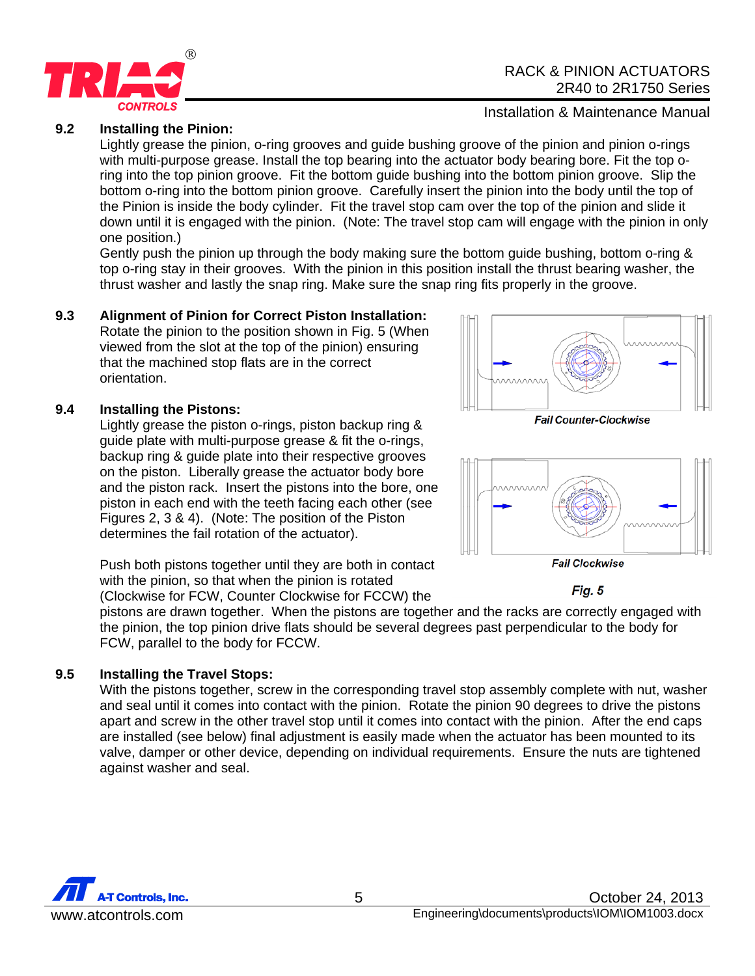

### **9.2 Installing the Pinion:**

Lightly grease the pinion, o-ring grooves and guide bushing groove of the pinion and pinion o-rings with multi-purpose grease. Install the top bearing into the actuator body bearing bore. Fit the top oring into the top pinion groove. Fit the bottom guide bushing into the bottom pinion groove. Slip the bottom o-ring into the bottom pinion groove. Carefully insert the pinion into the body until the top of the Pinion is inside the body cylinder. Fit the travel stop cam over the top of the pinion and slide it down until it is engaged with the pinion. (Note: The travel stop cam will engage with the pinion in only one position.)

Gently push the pinion up through the body making sure the bottom guide bushing, bottom o-ring & top o-ring stay in their grooves. With the pinion in this position install the thrust bearing washer, the thrust washer and lastly the snap ring. Make sure the snap ring fits properly in the groove.

#### **9.3 Alignment of Pinion for Correct Piston Installation:**

Rotate the pinion to the position shown in Fig. 5 (When viewed from the slot at the top of the pinion) ensuring that the machined stop flats are in the correct orientation.

#### **9.4 Installing the Pistons:**

Lightly grease the piston o-rings, piston backup ring & guide plate with multi-purpose grease & fit the o-rings, backup ring & guide plate into their respective grooves on the piston. Liberally grease the actuator body bore and the piston rack. Insert the pistons into the bore, one piston in each end with the teeth facing each other (see Figures 2, 3 & 4). (Note: The position of the Piston determines the fail rotation of the actuator).

Push both pistons together until they are both in contact with the pinion, so that when the pinion is rotated (Clockwise for FCW, Counter Clockwise for FCCW) the

pistons are drawn together. When the pistons are together and the racks are correctly engaged with the pinion, the top pinion drive flats should be several degrees past perpendicular to the body for FCW, parallel to the body for FCCW.

#### **9.5 Installing the Travel Stops:**

With the pistons together, screw in the corresponding travel stop assembly complete with nut, washer and seal until it comes into contact with the pinion. Rotate the pinion 90 degrees to drive the pistons apart and screw in the other travel stop until it comes into contact with the pinion. After the end caps are installed (see below) final adjustment is easily made when the actuator has been mounted to its valve, damper or other device, depending on individual requirements. Ensure the nuts are tightened against washer and seal.



5 October 24, 2013 www.atcontrols.com Engineering\documents\products\IOM\IOM1003.docx







Fig. 5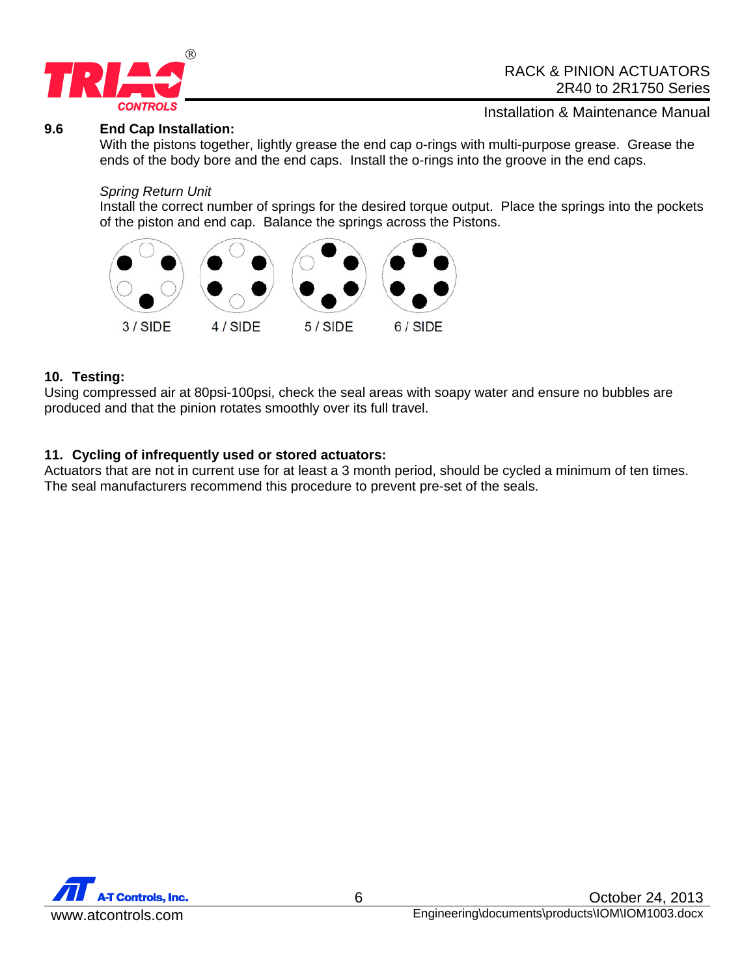

#### **9.6 End Cap Installation:**

Installation & Maintenance Manual

With the pistons together, lightly grease the end cap o-rings with multi-purpose grease. Grease the ends of the body bore and the end caps. Install the o-rings into the groove in the end caps.

#### *Spring Return Unit*

Install the correct number of springs for the desired torque output. Place the springs into the pockets of the piston and end cap. Balance the springs across the Pistons.



#### **10. Testing:**

Using compressed air at 80psi-100psi, check the seal areas with soapy water and ensure no bubbles are produced and that the pinion rotates smoothly over its full travel.

#### **11. Cycling of infrequently used or stored actuators:**

Actuators that are not in current use for at least a 3 month period, should be cycled a minimum of ten times. The seal manufacturers recommend this procedure to prevent pre-set of the seals.

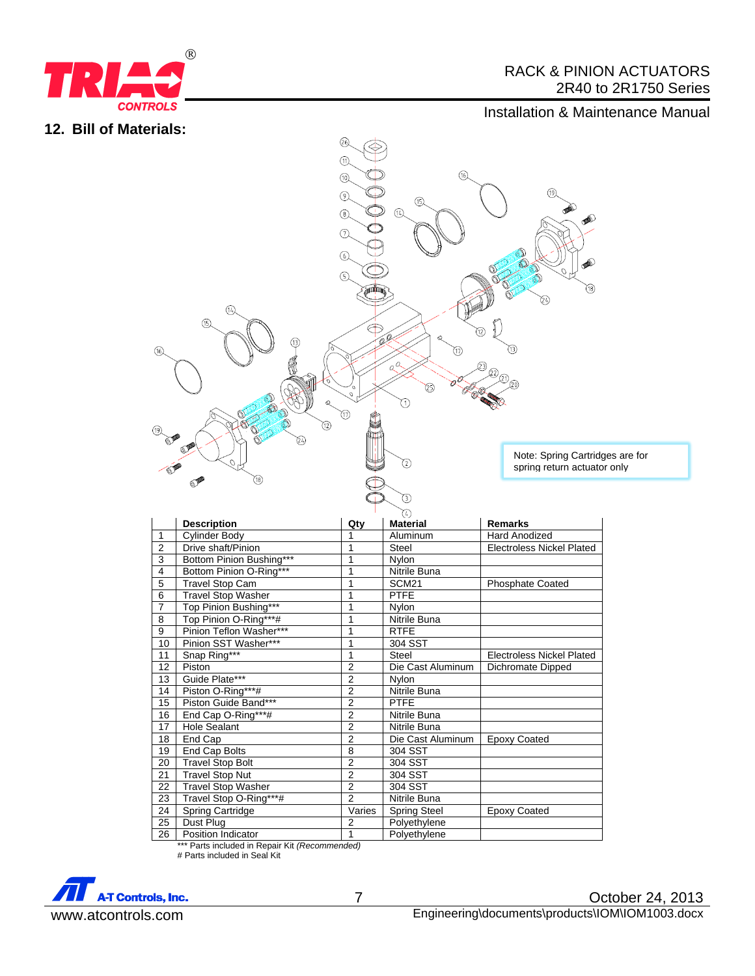

## RACK & PINION ACTUATORS 2R40 to 2R1750 Series

## Installation & Maintenance Manual

### **12. Bill of Materials:**



|                | <b>Description</b>        | Qty            | <b>Material</b>     | <b>Remarks</b>                   |
|----------------|---------------------------|----------------|---------------------|----------------------------------|
| 1              | Cylinder Body             |                | Aluminum            | <b>Hard Anodized</b>             |
| $\overline{2}$ | Drive shaft/Pinion        | 1              | <b>Steel</b>        | <b>Electroless Nickel Plated</b> |
| 3              | Bottom Pinion Bushing***  | 1              | <b>Nylon</b>        |                                  |
| 4              | Bottom Pinion O-Ring***   | 1              | Nitrile Buna        |                                  |
| $\overline{5}$ | <b>Travel Stop Cam</b>    | 1              | SCM21               | <b>Phosphate Coated</b>          |
| 6              | <b>Travel Stop Washer</b> | 1              | <b>PTFE</b>         |                                  |
| $\overline{7}$ | Top Pinion Bushing***     | 1              | <b>Nylon</b>        |                                  |
| 8              | Top Pinion O-Ring***#     | 1              | Nitrile Buna        |                                  |
| 9              | Pinion Teflon Washer***   | 1              | <b>RTFE</b>         |                                  |
| 10             | Pinion SST Washer***      | 1              | 304 SST             |                                  |
| 11             | Snap Ring***              | 1              | <b>Steel</b>        | <b>Electroless Nickel Plated</b> |
| 12             | Piston                    | 2              | Die Cast Aluminum   | Dichromate Dipped                |
| 13             | Guide Plate***            | 2              | <b>Nylon</b>        |                                  |
| 14             | Piston O-Ring***#         | $\overline{2}$ | Nitrile Buna        |                                  |
| 15             | Piston Guide Band***      | 2              | <b>PTFE</b>         |                                  |
| 16             | End Cap O-Ring***#        | $\overline{2}$ | Nitrile Buna        |                                  |
| 17             | <b>Hole Sealant</b>       | $\overline{2}$ | Nitrile Buna        |                                  |
| 18             | End Cap                   | $\overline{2}$ | Die Cast Aluminum   | <b>Epoxy Coated</b>              |
| 19             | End Cap Bolts             | 8              | 304 SST             |                                  |
| 20             | <b>Travel Stop Bolt</b>   | $\bar{2}$      | 304 SST             |                                  |
| 21             | <b>Travel Stop Nut</b>    | $\overline{2}$ | 304 SST             |                                  |
| 22             | <b>Travel Stop Washer</b> | $\overline{2}$ | 304 SST             |                                  |
| 23             | Travel Stop O-Ring***#    | $\overline{2}$ | Nitrile Buna        |                                  |
| 24             | <b>Spring Cartridge</b>   | Varies         | <b>Spring Steel</b> | <b>Epoxy Coated</b>              |
| 25             | Dust Plug                 | 2              | Polyethylene        |                                  |
| 26             | Position Indicator        | 1              | Polyethylene        |                                  |

\*\*\* Parts included in Repair Kit *(Recommended)* # Parts included in Seal Kit

**A-T Controls, Inc.**